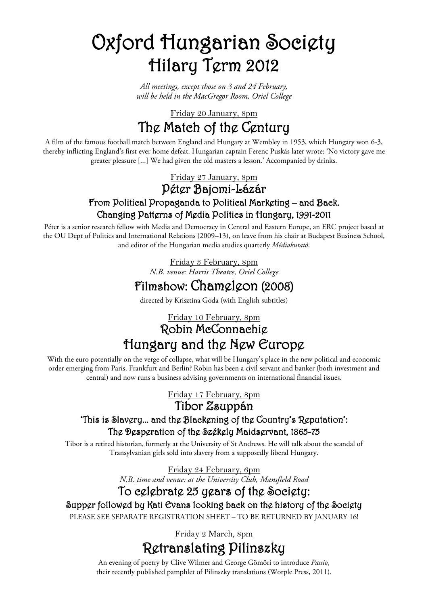# Oxford Hungarian Society Hilary Term 2012

*All meetings, except those on 3 and 24 February, will be held in the MacGregor Room, Oriel College*

The Match of the Century Friday 20 January, 8pm

A film of the famous football match between England and Hungary at Wembley in 1953, which Hungary won 6-3, thereby inflicting England's first ever home defeat. Hungarian captain Ferenc Puskás later wrote: 'No victory gave me greater pleasure [...] We had given the old masters a lesson.' Accompanied by drinks.

Friday 27 January, 8pm

### Péter Bajomi-Lázár From Political Propaganda to Political Marketing – and Back. Changing Patterns of Media Politics in Hungary, 1991-2011

Péter is a senior research fellow with Media and Democracy in Central and Eastern Europe, an ERC project based at the OU Dept of Politics and International Relations (2009–13), on leave from his chair at Budapest Business School, and editor of the Hungarian media studies quarterly *Médiakutató*.

> *N.B. venue: Harris Theatre, Oriel College* Friday 3 February, 8pm

## Filmshow: Chameleon (2008)

directed by Krisztina Goda (with English subtitles)

## Robin McConnachie Friday 10 February, 8pm Hungary and the New Europe

With the euro potentially on the verge of collapse, what will be Hungary's place in the new political and economic order emerging from Paris, Frankfurt and Berlin? Robin has been a civil servant and banker (both investment and central) and now runs a business advising governments on international financial issues.

Friday 17 February, 8pm

Tibor Zsuppán

#### 'This is Slavery... and the Blackening of the Country's Reputation': The Desperation of the Székely Maidservant, 1865-75

Tibor is a retired historian, formerly at the University of St Andrews. He will talk about the scandal of Transylvanian girls sold into slavery from a supposedly liberal Hungary.

Friday 24 February, 6pm

*N.B. time and venue: at the University Club, Mansfield Road*

## To celebrate 25 years of the Society:

Supper followed by Kati Evans looking back on the history of the Society

PLEASE SEE SEPARATE REGISTRATION SHEET – TO BE RETURNED BY JANUARY 16!

Retranslating Pilinszky Friday 2 March, 8pm

An evening of poetry by Clive Wilmer and George Gömöri to introduce *Passio*, their recently published pamphlet of Pilinszky translations (Worple Press, 2011).